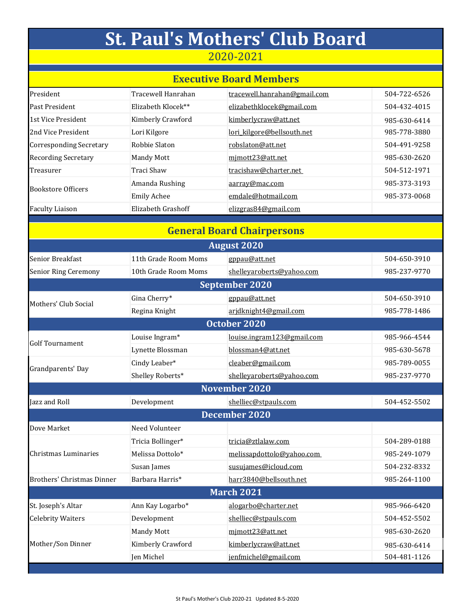|                                   |                      | <b>St. Paul's Mothers' Club Board</b> |              |  |  |  |  |
|-----------------------------------|----------------------|---------------------------------------|--------------|--|--|--|--|
| 2020-2021                         |                      |                                       |              |  |  |  |  |
| <b>Executive Board Members</b>    |                      |                                       |              |  |  |  |  |
| President                         | Tracewell Hanrahan   | tracewell.hanrahan@gmail.com          | 504-722-6526 |  |  |  |  |
| Past President                    | Elizabeth Klocek**   | elizabethklocek@gmail.com             | 504-432-4015 |  |  |  |  |
| 1st Vice President                | Kimberly Crawford    | kimberlycraw@att.net                  | 985-630-6414 |  |  |  |  |
| 2nd Vice President                | Lori Kilgore         | lori_kilgore@bellsouth.net            | 985-778-3880 |  |  |  |  |
| <b>Corresponding Secretary</b>    | Robbie Slaton        | robslaton@att.net                     | 504-491-9258 |  |  |  |  |
| Recording Secretary               | Mandy Mott           | mimott23@att.net                      | 985-630-2620 |  |  |  |  |
| Treasurer                         | <b>Traci Shaw</b>    | tracishaw@charter.net                 | 504-512-1971 |  |  |  |  |
| <b>Bookstore Officers</b>         | Amanda Rushing       | aarray@mac.com                        | 985-373-3193 |  |  |  |  |
|                                   | <b>Emily Achee</b>   | emdale@hotmail.com                    | 985-373-0068 |  |  |  |  |
| <b>Faculty Liaison</b>            | Elizabeth Grashoff   | elizgras84@gmail.com                  |              |  |  |  |  |
| <b>General Board Chairpersons</b> |                      |                                       |              |  |  |  |  |
|                                   |                      | <b>August 2020</b>                    |              |  |  |  |  |
| Senior Breakfast                  | 11th Grade Room Moms | gppau@att.net                         | 504-650-3910 |  |  |  |  |
| <b>Senior Ring Ceremony</b>       | 10th Grade Room Moms | shelleyaroberts@yahoo.com             | 985-237-9770 |  |  |  |  |
|                                   |                      | <b>September 2020</b>                 |              |  |  |  |  |
| Mothers' Club Social              | Gina Cherry*         | gppau@att.net                         | 504-650-3910 |  |  |  |  |
|                                   | Regina Knight        | arjdknight4@gmail.com                 | 985-778-1486 |  |  |  |  |
|                                   |                      | October 2020                          |              |  |  |  |  |
|                                   | Louise Ingram*       | louise.ingram123@gmail.com            | 985-966-4544 |  |  |  |  |
| <b>Golf Tournament</b>            | Lynette Blossman     | blossman4@att.net                     | 985-630-5678 |  |  |  |  |
| Grandparents' Day                 | Cindy Leaber*        | cleaber@gmail.com                     | 985-789-0055 |  |  |  |  |
|                                   | Shelley Roberts*     | shelleyaroberts@yahoo.com             | 985-237-9770 |  |  |  |  |
| November 2020                     |                      |                                       |              |  |  |  |  |
| Jazz and Roll                     | Development          | shelliec@stpauls.com                  | 504-452-5502 |  |  |  |  |
| December 2020                     |                      |                                       |              |  |  |  |  |
| Dove Market                       | Need Volunteer       |                                       |              |  |  |  |  |
|                                   | Tricia Bollinger*    | tricia@ztlalaw.com                    | 504-289-0188 |  |  |  |  |
| Christmas Luminaries              | Melissa Dottolo*     | melissapdottolo@yahoo.com             | 985-249-1079 |  |  |  |  |
|                                   | Susan James          | susujames@icloud.com                  | 504-232-8332 |  |  |  |  |
| <b>Brothers' Christmas Dinner</b> | Barbara Harris*      | harr3840@bellsouth.net                | 985-264-1100 |  |  |  |  |
| March 2021                        |                      |                                       |              |  |  |  |  |
| St. Joseph's Altar                | Ann Kay Logarbo*     | alogarbo@charter.net                  | 985-966-6420 |  |  |  |  |
| <b>Celebrity Waiters</b>          | Development          | shelliec@stpauls.com                  | 504-452-5502 |  |  |  |  |
| Mother/Son Dinner                 | Mandy Mott           | mimott23@att.net                      | 985-630-2620 |  |  |  |  |
|                                   | Kimberly Crawford    | kimberlycraw@att.net                  | 985-630-6414 |  |  |  |  |
|                                   | Jen Michel           | jenfmichel@gmail.com                  | 504-481-1126 |  |  |  |  |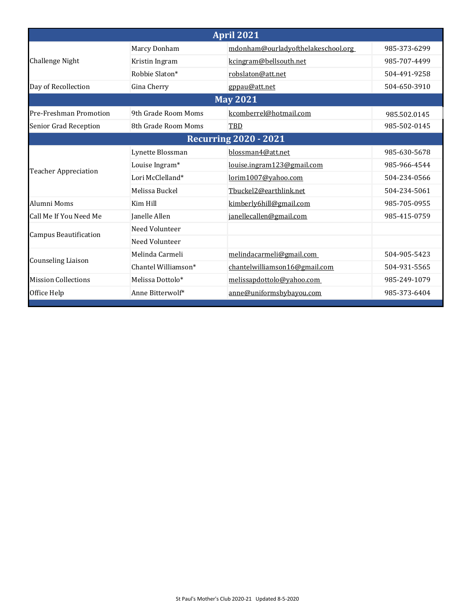| <b>April 2021</b>            |                              |                                    |              |  |  |  |  |
|------------------------------|------------------------------|------------------------------------|--------------|--|--|--|--|
| Challenge Night              | Marcy Donham                 | mdonham@ourladyofthelakeschool.org | 985-373-6299 |  |  |  |  |
|                              | Kristin Ingram               | kcingram@bellsouth.net             | 985-707-4499 |  |  |  |  |
|                              | Robbie Slaton*               | robslaton@att.net                  | 504-491-9258 |  |  |  |  |
| Day of Recollection          | Gina Cherry                  | gppau@att.net                      | 504-650-3910 |  |  |  |  |
| <b>May 2021</b>              |                              |                                    |              |  |  |  |  |
| Pre-Freshman Promotion       | 9th Grade Room Moms          | kcomberrel@hotmail.com             | 985.502.0145 |  |  |  |  |
| Senior Grad Reception        | 8th Grade Room Moms          | TBD                                | 985-502-0145 |  |  |  |  |
|                              | <b>Recurring 2020 - 2021</b> |                                    |              |  |  |  |  |
| <b>Teacher Appreciation</b>  | Lynette Blossman             | blossman4@att.net                  | 985-630-5678 |  |  |  |  |
|                              | Louise Ingram*               | louise.ingram123@gmail.com         | 985-966-4544 |  |  |  |  |
|                              | Lori McClelland*             | lorim1007@yahoo.com                | 504-234-0566 |  |  |  |  |
|                              | Melissa Buckel               | Tbuckel2@earthlink.net             | 504-234-5061 |  |  |  |  |
| Alumni Moms                  | Kim Hill                     | kimberly6hill@gmail.com            | 985-705-0955 |  |  |  |  |
| Call Me If You Need Me       | Janelle Allen                | janellecallen@gmail.com            | 985-415-0759 |  |  |  |  |
| <b>Campus Beautification</b> | Need Volunteer               |                                    |              |  |  |  |  |
|                              | Need Volunteer               |                                    |              |  |  |  |  |
| <b>Counseling Liaison</b>    | Melinda Carmeli              | melindacarmeli@gmail.com           | 504-905-5423 |  |  |  |  |
|                              | Chantel Williamson*          | chantelwilliamson16@gmail.com      | 504-931-5565 |  |  |  |  |
| <b>Mission Collections</b>   | Melissa Dottolo*             | melissapdottolo@yahoo.com          | 985-249-1079 |  |  |  |  |
| Office Help                  | Anne Bitterwolf*             | anne@uniformsbybayou.com           | 985-373-6404 |  |  |  |  |